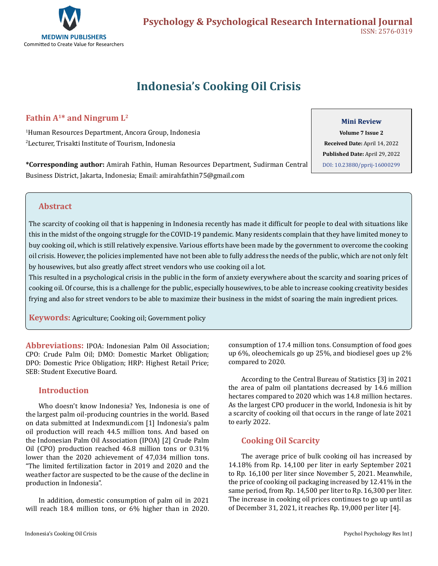

# **Indonesia's Cooking Oil Crisis**

# **Fathin A1\* and Ningrum L2**

1 Human Resources Department, Ancora Group, Indonesia 2 Lecturer, Trisakti Institute of Tourism, Indonesia

**\*Corresponding author:** Amirah Fathin, Human Resources Department, Sudirman Central Business District, Jakarta, Indonesia; Email: amirahfathin75@gmail.com

#### **Mini Review**

**Volume 7 Issue 2 Received Date:** April 14, 2022 **Published Date:** April 29, 2022 [DOI: 10.23880/pprij-16000299](https://doi.org/10.23880/pprij-16000299)

### **Abstract**

The scarcity of cooking oil that is happening in Indonesia recently has made it difficult for people to deal with situations like this in the midst of the ongoing struggle for the COVID-19 pandemic. Many residents complain that they have limited money to buy cooking oil, which is still relatively expensive. Various efforts have been made by the government to overcome the cooking oil crisis. However, the policies implemented have not been able to fully address the needs of the public, which are not only felt by housewives, but also greatly affect street vendors who use cooking oil a lot.

This resulted in a psychological crisis in the public in the form of anxiety everywhere about the scarcity and soaring prices of cooking oil. Of course, this is a challenge for the public, especially housewives, to be able to increase cooking creativity besides frying and also for street vendors to be able to maximize their business in the midst of soaring the main ingredient prices.

l **Keywords:** Agriculture; Cooking oil; Government policy

**Abbreviations:** IPOA: Indonesian Palm Oil Association; CPO: Crude Palm Oil; DMO: Domestic Market Obligation; DPO: Domestic Price Obligation; HRP: Highest Retail Price; SEB: Student Executive Board.

### **Introduction**

Who doesn't know Indonesia? Yes, Indonesia is one of the largest palm oil-producing countries in the world. Based on data submitted at Indexmundi.com [1] Indonesia's palm oil production will reach 44.5 million tons. And based on the Indonesian Palm Oil Association (IPOA) [2] Crude Palm Oil (CPO) production reached 46.8 million tons or 0.31% lower than the 2020 achievement of 47,034 million tons. "The limited fertilization factor in 2019 and 2020 and the weather factor are suspected to be the cause of the decline in production in Indonesia".

In addition, domestic consumption of palm oil in 2021 will reach 18.4 million tons, or 6% higher than in 2020.

consumption of 17.4 million tons. Consumption of food goes up 6%, oleochemicals go up 25%, and biodiesel goes up 2% compared to 2020.

According to the Central Bureau of Statistics [3] in 2021 the area of palm oil plantations decreased by 14.6 million hectares compared to 2020 which was 14.8 million hectares. As the largest CPO producer in the world, Indonesia is hit by a scarcity of cooking oil that occurs in the range of late 2021 to early 2022.

### **Cooking Oil Scarcity**

The average price of bulk cooking oil has increased by 14.18% from Rp. 14,100 per liter in early September 2021 to Rp. 16,100 per liter since November 5, 2021. Meanwhile, the price of cooking oil packaging increased by 12.41% in the same period, from Rp. 14,500 per liter to Rp. 16,300 per liter. The increase in cooking oil prices continues to go up until as of December 31, 2021, it reaches Rp. 19,000 per liter [4].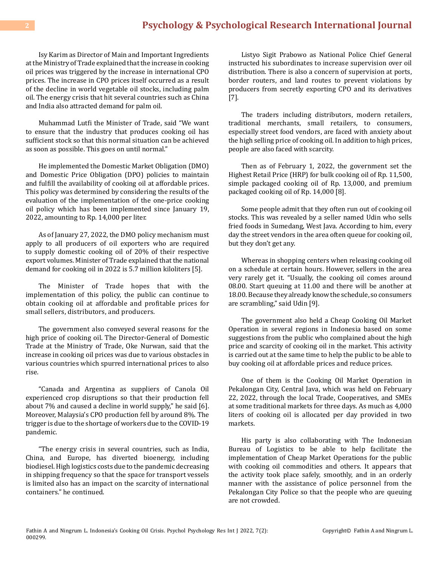## **2 [Psychology & Psychological Research International Journal](https://medwinpublishers.com/PPRIJ/)**

Isy Karim as Director of Main and Important Ingredients at the Ministry of Trade explained that the increase in cooking oil prices was triggered by the increase in international CPO prices. The increase in CPO prices itself occurred as a result of the decline in world vegetable oil stocks, including palm oil. The energy crisis that hit several countries such as China and India also attracted demand for palm oil.

Muhammad Lutfi the Minister of Trade, said "We want to ensure that the industry that produces cooking oil has sufficient stock so that this normal situation can be achieved as soon as possible. This goes on until normal."

He implemented the Domestic Market Obligation (DMO) and Domestic Price Obligation (DPO) policies to maintain and fulfill the availability of cooking oil at affordable prices. This policy was determined by considering the results of the evaluation of the implementation of the one-price cooking oil policy which has been implemented since January 19, 2022, amounting to Rp. 14,000 per liter.

As of January 27, 2022, the DMO policy mechanism must apply to all producers of oil exporters who are required to supply domestic cooking oil of 20% of their respective export volumes. Minister of Trade explained that the national demand for cooking oil in 2022 is 5.7 million kiloliters [5].

The Minister of Trade hopes that with the implementation of this policy, the public can continue to obtain cooking oil at affordable and profitable prices for small sellers, distributors, and producers.

The government also conveyed several reasons for the high price of cooking oil. The Director-General of Domestic Trade at the Ministry of Trade, Oke Nurwan, said that the increase in cooking oil prices was due to various obstacles in various countries which spurred international prices to also rise.

"Canada and Argentina as suppliers of Canola Oil experienced crop disruptions so that their production fell about 7% and caused a decline in world supply," he said [6]. Moreover, Malaysia's CPO production fell by around 8%. The trigger is due to the shortage of workers due to the COVID-19 pandemic.

"The energy crisis in several countries, such as India, China, and Europe, has diverted bioenergy, including biodiesel. High logistics costs due to the pandemic decreasing in shipping frequency so that the space for transport vessels is limited also has an impact on the scarcity of international containers." he continued.

Listyo Sigit Prabowo as National Police Chief General instructed his subordinates to increase supervision over oil distribution. There is also a concern of supervision at ports, border routers, and land routes to prevent violations by producers from secretly exporting CPO and its derivatives [7].

The traders including distributors, modern retailers, traditional merchants, small retailers, to consumers, especially street food vendors, are faced with anxiety about the high selling price of cooking oil. In addition to high prices, people are also faced with scarcity.

Then as of February 1, 2022, the government set the Highest Retail Price (HRP) for bulk cooking oil of Rp. 11,500, simple packaged cooking oil of Rp. 13,000, and premium packaged cooking oil of Rp. 14,000 [8].

Some people admit that they often run out of cooking oil stocks. This was revealed by a seller named Udin who sells fried foods in Sumedang, West Java. According to him, every day the street vendors in the area often queue for cooking oil, but they don't get any.

Whereas in shopping centers when releasing cooking oil on a schedule at certain hours. However, sellers in the area very rarely get it. "Usually, the cooking oil comes around 08.00. Start queuing at 11.00 and there will be another at 18.00. Because they already know the schedule, so consumers are scrambling," said Udin [9].

The government also held a Cheap Cooking Oil Market Operation in several regions in Indonesia based on some suggestions from the public who complained about the high price and scarcity of cooking oil in the market. This activity is carried out at the same time to help the public to be able to buy cooking oil at affordable prices and reduce prices.

One of them is the Cooking Oil Market Operation in Pekalongan City, Central Java, which was held on February 22, 2022, through the local Trade, Cooperatives, and SMEs at some traditional markets for three days. As much as 4,000 liters of cooking oil is allocated per day provided in two markets.

His party is also collaborating with The Indonesian Bureau of Logistics to be able to help facilitate the implementation of Cheap Market Operations for the public with cooking oil commodities and others. It appears that the activity took place safely, smoothly, and in an orderly manner with the assistance of police personnel from the Pekalongan City Police so that the people who are queuing are not crowded.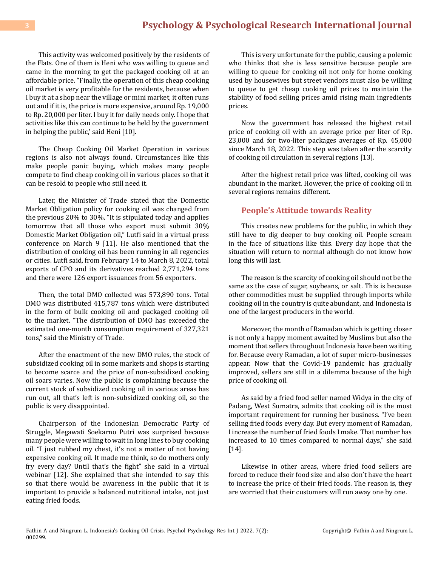# **3 [Psychology & Psychological Research International Journal](https://medwinpublishers.com/PPRIJ/)**

This activity was welcomed positively by the residents of the Flats. One of them is Heni who was willing to queue and came in the morning to get the packaged cooking oil at an affordable price. "Finally, the operation of this cheap cooking oil market is very profitable for the residents, because when I buy it at a shop near the village or mini market, it often runs out and if it is, the price is more expensive, around Rp. 19,000 to Rp. 20,000 per liter. I buy it for daily needs only. I hope that activities like this can continue to be held by the government in helping the public,' said Heni [10].

The Cheap Cooking Oil Market Operation in various regions is also not always found. Circumstances like this make people panic buying, which makes many people compete to find cheap cooking oil in various places so that it can be resold to people who still need it.

Later, the Minister of Trade stated that the Domestic Market Obligation policy for cooking oil was changed from the previous 20% to 30%. "It is stipulated today and applies tomorrow that all those who export must submit 30% Domestic Market Obligation oil," Lutfi said in a virtual press conference on March 9 [11]. He also mentioned that the distribution of cooking oil has been running in all regencies or cities. Lutfi said, from February 14 to March 8, 2022, total exports of CPO and its derivatives reached 2,771,294 tons and there were 126 export issuances from 56 exporters.

Then, the total DMO collected was 573,890 tons. Total DMO was distributed 415,787 tons which were distributed in the form of bulk cooking oil and packaged cooking oil to the market. "The distribution of DMO has exceeded the estimated one-month consumption requirement of 327,321 tons," said the Ministry of Trade.

After the enactment of the new DMO rules, the stock of subsidized cooking oil in some markets and shops is starting to become scarce and the price of non-subsidized cooking oil soars varies. Now the public is complaining because the current stock of subsidized cooking oil in various areas has run out, all that's left is non-subsidized cooking oil, so the public is very disappointed.

Chairperson of the Indonesian Democratic Party of Struggle, Megawati Soekarno Putri was surprised because many people were willing to wait in long lines to buy cooking oil. "I just rubbed my chest, it's not a matter of not having expensive cooking oil. It made me think, so do mothers only fry every day? Until that's the fight" she said in a virtual webinar [12]. She explained that she intended to say this so that there would be awareness in the public that it is important to provide a balanced nutritional intake, not just eating fried foods.

This is very unfortunate for the public, causing a polemic who thinks that she is less sensitive because people are willing to queue for cooking oil not only for home cooking used by housewives but street vendors must also be willing to queue to get cheap cooking oil prices to maintain the stability of food selling prices amid rising main ingredients prices.

Now the government has released the highest retail price of cooking oil with an average price per liter of Rp. 23,000 and for two-liter packages averages of Rp. 45,000 since March 18, 2022. This step was taken after the scarcity of cooking oil circulation in several regions [13].

After the highest retail price was lifted, cooking oil was abundant in the market. However, the price of cooking oil in several regions remains different.

#### **People's Attitude towards Reality**

This creates new problems for the public, in which they still have to dig deeper to buy cooking oil. People scream in the face of situations like this. Every day hope that the situation will return to normal although do not know how long this will last.

The reason is the scarcity of cooking oil should not be the same as the case of sugar, soybeans, or salt. This is because other commodities must be supplied through imports while cooking oil in the country is quite abundant, and Indonesia is one of the largest producers in the world.

Moreover, the month of Ramadan which is getting closer is not only a happy moment awaited by Muslims but also the moment that sellers throughout Indonesia have been waiting for. Because every Ramadan, a lot of super micro-businesses appear. Now that the Covid-19 pandemic has gradually improved, sellers are still in a dilemma because of the high price of cooking oil.

As said by a fried food seller named Widya in the city of Padang, West Sumatra, admits that cooking oil is the most important requirement for running her business. "I've been selling fried foods every day. But every moment of Ramadan, I increase the number of fried foods I make. That number has increased to 10 times compared to normal days," she said [14].

Likewise in other areas, where fried food sellers are forced to reduce their food size and also don't have the heart to increase the price of their fried foods. The reason is, they are worried that their customers will run away one by one.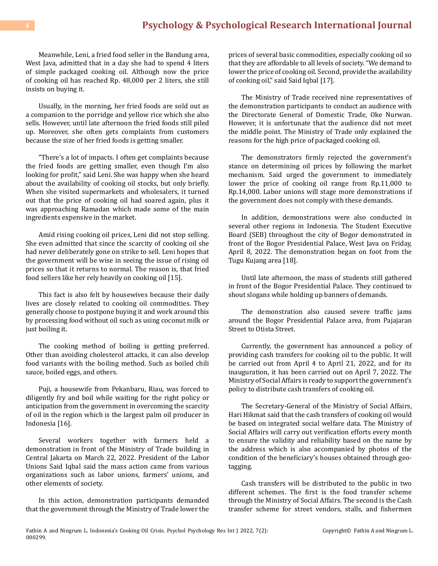# **4 [Psychology & Psychological Research International Journal](https://medwinpublishers.com/PPRIJ/)**

Meanwhile, Leni, a fried food seller in the Bandung area, West Java, admitted that in a day she had to spend 4 liters of simple packaged cooking oil. Although now the price of cooking oil has reached Rp. 48,000 per 2 liters, she still insists on buying it.

Usually, in the morning, her fried foods are sold out as a companion to the porridge and yellow rice which she also sells. However, until late afternoon the fried foods still piled up. Moreover, she often gets complaints from customers because the size of her fried foods is getting smaller.

"There's a lot of impacts. I often get complaints because the fried foods are getting smaller, even though I'm also looking for profit," said Leni. She was happy when she heard about the availability of cooking oil stocks, but only briefly. When she visited supermarkets and wholesalers, it turned out that the price of cooking oil had soared again, plus it was approaching Ramadan which made some of the main ingredients expensive in the market.

Amid rising cooking oil prices, Leni did not stop selling. She even admitted that since the scarcity of cooking oil she had never deliberately gone on strike to sell. Leni hopes that the government will be wise in seeing the issue of rising oil prices so that it returns to normal. The reason is, that fried food sellers like her rely heavily on cooking oil [15].

This fact is also felt by housewives because their daily lives are closely related to cooking oil commodities. They generally choose to postpone buying it and work around this by processing food without oil such as using coconut milk or just boiling it.

The cooking method of boiling is getting preferred. Other than avoiding cholesterol attacks, it can also develop food variants with the boiling method. Such as boiled chili sauce, boiled eggs, and others.

Puji, a housewife from Pekanbaru, Riau, was forced to diligently fry and boil while waiting for the right policy or anticipation from the government in overcoming the scarcity of oil in the region which is the largest palm oil producer in Indonesia [16].

Several workers together with farmers held a demonstration in front of the Ministry of Trade building in Central Jakarta on March 22, 2022. President of the Labor Unions Said Iqbal said the mass action came from various organizations such as labor unions, farmers' unions, and other elements of society.

In this action, demonstration participants demanded that the government through the Ministry of Trade lower the

prices of several basic commodities, especially cooking oil so that they are affordable to all levels of society. "We demand to lower the price of cooking oil. Second, provide the availability of cooking oil," said Said Iqbal [17].

The Ministry of Trade received nine representatives of the demonstration participants to conduct an audience with the Directorate General of Domestic Trade, Oke Nurwan. However, it is unfortunate that the audience did not meet the middle point. The Ministry of Trade only explained the reasons for the high price of packaged cooking oil.

The demonstrators firmly rejected the government's stance on determining oil prices by following the market mechanism. Said urged the government to immediately lower the price of cooking oil range from Rp.11,000 to Rp.14,000. Labor unions will stage more demonstrations if the government does not comply with these demands.

In addition, demonstrations were also conducted in several other regions in Indonesia. The Student Executive Board (SEB) throughout the city of Bogor demonstrated in front of the Bogor Presidential Palace, West Java on Friday, April 8, 2022. The demonstration began on foot from the Tugu Kujang area [18].

Until late afternoon, the mass of students still gathered in front of the Bogor Presidential Palace. They continued to shout slogans while holding up banners of demands.

The demonstration also caused severe traffic jams around the Bogor Presidential Palace area, from Pajajaran Street to Otista Street.

Currently, the government has announced a policy of providing cash transfers for cooking oil to the public. It will be carried out from April 4 to April 21, 2022, and for its inauguration, it has been carried out on April 7, 2022. The Ministry of Social Affairs is ready to support the government's policy to distribute cash transfers of cooking oil.

The Secretary-General of the Ministry of Social Affairs, Hari Hikmat said that the cash transfers of cooking oil would be based on integrated social welfare data. The Ministry of Social Affairs will carry out verification efforts every month to ensure the validity and reliability based on the name by the address which is also accompanied by photos of the condition of the beneficiary's houses obtained through geotagging.

Cash transfers will be distributed to the public in two different schemes. The first is the food transfer scheme through the Ministry of Social Affairs. The second is the Cash transfer scheme for street vendors, stalls, and fishermen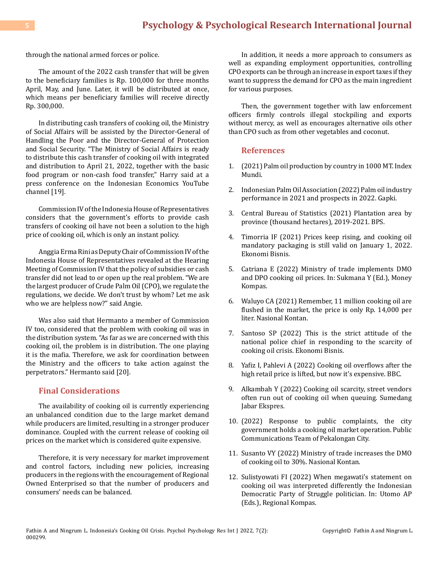through the national armed forces or police.

The amount of the 2022 cash transfer that will be given to the beneficiary families is Rp. 100,000 for three months April, May, and June. Later, it will be distributed at once, which means per beneficiary families will receive directly Rp. 300,000.

In distributing cash transfers of cooking oil, the Ministry of Social Affairs will be assisted by the Director-General of Handling the Poor and the Director-General of Protection and Social Security. "The Ministry of Social Affairs is ready to distribute this cash transfer of cooking oil with integrated and distribution to April 21, 2022, together with the basic food program or non-cash food transfer," Harry said at a press conference on the Indonesian Economics YouTube channel [19].

Commission IV of the Indonesia House of Representatives considers that the government's efforts to provide cash transfers of cooking oil have not been a solution to the high price of cooking oil, which is only an instant policy.

Anggia Erma Rini as Deputy Chair of Commission IV of the Indonesia House of Representatives revealed at the Hearing Meeting of Commission IV that the policy of subsidies or cash transfer did not lead to or open up the real problem. "We are the largest producer of Crude Palm Oil (CPO), we regulate the regulations, we decide. We don't trust by whom? Let me ask who we are helpless now?" said Angie.

Was also said that Hermanto a member of Commission IV too, considered that the problem with cooking oil was in the distribution system. "As far as we are concerned with this cooking oil, the problem is in distribution. The one playing it is the mafia. Therefore, we ask for coordination between the Ministry and the officers to take action against the perpetrators." Hermanto said [20].

#### **Final Considerations**

The availability of cooking oil is currently experiencing an unbalanced condition due to the large market demand while producers are limited, resulting in a stronger producer dominance. Coupled with the current release of cooking oil prices on the market which is considered quite expensive.

Therefore, it is very necessary for market improvement and control factors, including new policies, increasing producers in the regions with the encouragement of Regional Owned Enterprised so that the number of producers and consumers' needs can be balanced.

In addition, it needs a more approach to consumers as well as expanding employment opportunities, controlling CPO exports can be through an increase in export taxes if they want to suppress the demand for CPO as the main ingredient for various purposes.

Then, the government together with law enforcement officers firmly controls illegal stockpiling and exports without mercy, as well as encourages alternative oils other than CPO such as from other vegetables and coconut.

#### **References**

- 1. [\(2021\) Palm oil production by country in 1000 MT. Index](https://www.indexmundi.com/agriculture/?commodity=palm-oil&graph=production)  [Mundi.](https://www.indexmundi.com/agriculture/?commodity=palm-oil&graph=production)
- 2. [Indonesian Palm Oil Association \(2022\) Palm oil industry](https://gapki.id/news/20519/kinerja-industri-sawit-2021-prospek-2022) [performance in 2021 and prospects in 2022. Gapki.](https://gapki.id/news/20519/kinerja-industri-sawit-2021-prospek-2022)
- 3. [Central Bureau of Statistics \(2021\) Plantation area by](https://www.bps.go.id/indicator/54/131/1/luas-tanaman-perkebunan-menurut-provinsi.html)  [province \(thousand hectares\), 2019-2021. BPS.](https://www.bps.go.id/indicator/54/131/1/luas-tanaman-perkebunan-menurut-provinsi.html)
- 4. [Timorria IF \(2021\) Prices keep rising, and cooking oil](https://ekonomi.bisnis.com/read/20211108/12/1463403/harga-terus-naik-minyak-goreng-wajib-kemasan-tetap-berlaku-1-januari-2022) [mandatory packaging is still valid on January 1, 2022.](https://ekonomi.bisnis.com/read/20211108/12/1463403/harga-terus-naik-minyak-goreng-wajib-kemasan-tetap-berlaku-1-januari-2022) [Ekonomi Bisnis.](https://ekonomi.bisnis.com/read/20211108/12/1463403/harga-terus-naik-minyak-goreng-wajib-kemasan-tetap-berlaku-1-januari-2022)
- 5. [Catriana E \(2022\) Ministry of trade implements DMO](https://money.kompas.com/read/2022/01/27/174743626/kemendag-terapkan-kebijakan-dmo-dan-dpo-minyak-goreng?page=all)  [and DPO cooking oil prices. In: Sukmana Y \(Ed.\), Money](https://money.kompas.com/read/2022/01/27/174743626/kemendag-terapkan-kebijakan-dmo-dan-dpo-minyak-goreng?page=all) [Kompas.](https://money.kompas.com/read/2022/01/27/174743626/kemendag-terapkan-kebijakan-dmo-dan-dpo-minyak-goreng?page=all)
- 6. [Waluyo CA \(2021\) Remember, 11 million cooking oil are](https://nasional.kontan.co.id/news/ingat-11-juta-liter-minyak-goreng-diguyur-di-pasar-harga-cuma-rp-14000-per-liter)  [flushed in the market, the price is only Rp. 14,000 per](https://nasional.kontan.co.id/news/ingat-11-juta-liter-minyak-goreng-diguyur-di-pasar-harga-cuma-rp-14000-per-liter) [liter. Nasional Kontan.](https://nasional.kontan.co.id/news/ingat-11-juta-liter-minyak-goreng-diguyur-di-pasar-harga-cuma-rp-14000-per-liter)
- 7. [Santoso SP \(2022\) This is the strict attitude of the](https://ekonomi.bisnis.com/read/20220315/12/1510962/ini-sikap-tegas-kapolri-menyikapi-kelangkaan-minyak-goreng) [national police chief in responding to the scarcity of](https://ekonomi.bisnis.com/read/20220315/12/1510962/ini-sikap-tegas-kapolri-menyikapi-kelangkaan-minyak-goreng) [cooking oil crisis. Ekonomi Bisnis.](https://ekonomi.bisnis.com/read/20220315/12/1510962/ini-sikap-tegas-kapolri-menyikapi-kelangkaan-minyak-goreng)
- 8. [Yafiz I, Pahlevi A \(2022\) Cooking oil overflows after the](https://www.bbc.com/indonesia/indonesia-60754619) [high retail price is lifted, but now it's expensive. BBC.](https://www.bbc.com/indonesia/indonesia-60754619)
- 9. [Alkambah Y \(2022\) Cooking oil scarcity, street vendors](https://sumedang.jabarekspres.com/2022/02/25/kelangkaan-minyak-goreng-pedagang-kaki-lima-sering-kehabisan-minyak-goreng-saat-antre/) [often run out of cooking oil when queuing. Sumedang](https://sumedang.jabarekspres.com/2022/02/25/kelangkaan-minyak-goreng-pedagang-kaki-lima-sering-kehabisan-minyak-goreng-saat-antre/)  [Jabar Ekspres.](https://sumedang.jabarekspres.com/2022/02/25/kelangkaan-minyak-goreng-pedagang-kaki-lima-sering-kehabisan-minyak-goreng-saat-antre/)
- 10. [\(2022\) Response to public complaints, the city](https://pekalongankota.go.id/berita/respon-keluhan-masyarakat-pemkot-gelar-operasi-pasar-minyak-goreng-rp13500.html)  [government holds a cooking oil market operation. Public](https://pekalongankota.go.id/berita/respon-keluhan-masyarakat-pemkot-gelar-operasi-pasar-minyak-goreng-rp13500.html)  [Communications Team of Pekalongan City.](https://pekalongankota.go.id/berita/respon-keluhan-masyarakat-pemkot-gelar-operasi-pasar-minyak-goreng-rp13500.html)
- 11. [Susanto VY \(2022\) Ministry of trade increases the DMO](https://nasional.kontan.co.id/news/kemendag-menaikkan-dmo-minyak-goreng-menjadi-30)  [of cooking oil to 30%. Nasional Kontan.](https://nasional.kontan.co.id/news/kemendag-menaikkan-dmo-minyak-goreng-menjadi-30)
- 12. [Sulistyowati FI \(2022\) When megawati's statement on](https://regional.kompas.com/read/2022/03/25/051900678/saat-pernyataan-megawati-soal-minyak-minyak-goreng-ditafsirkan-berbeda-oleh?page=all) [cooking oil was interpreted differently the Indonesian](https://regional.kompas.com/read/2022/03/25/051900678/saat-pernyataan-megawati-soal-minyak-minyak-goreng-ditafsirkan-berbeda-oleh?page=all) [Democratic Party of Struggle politician. In: Utomo AP](https://regional.kompas.com/read/2022/03/25/051900678/saat-pernyataan-megawati-soal-minyak-minyak-goreng-ditafsirkan-berbeda-oleh?page=all) [\(Eds.\), Regional Kompas.](https://regional.kompas.com/read/2022/03/25/051900678/saat-pernyataan-megawati-soal-minyak-minyak-goreng-ditafsirkan-berbeda-oleh?page=all)